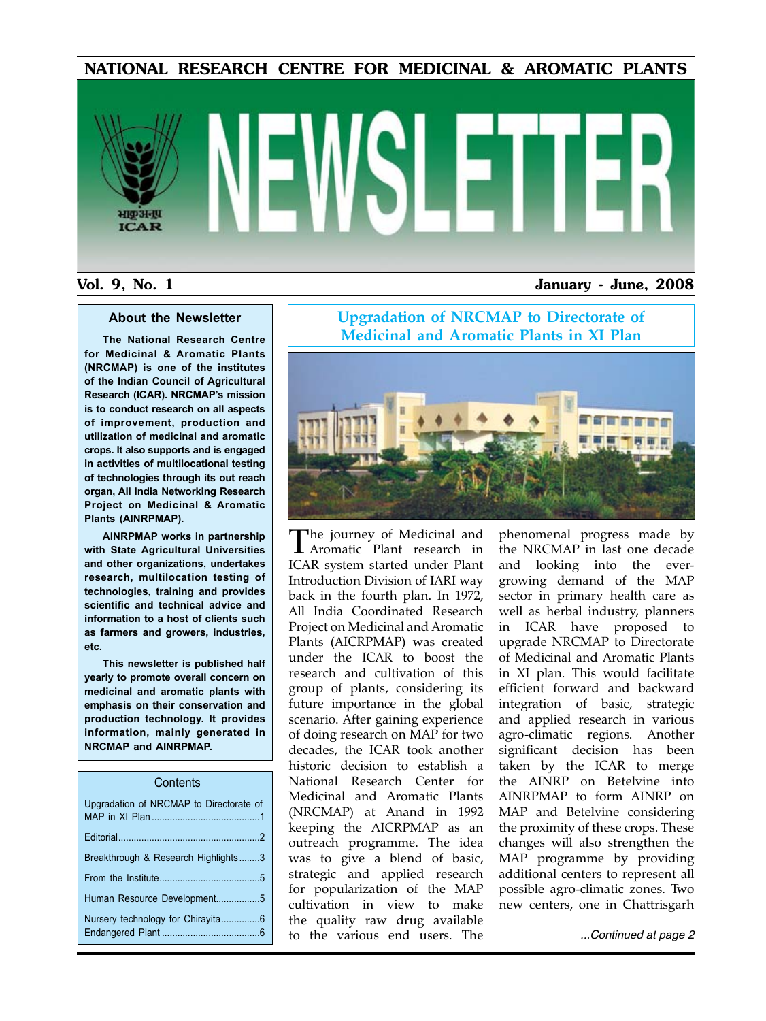NATIONAL RESEARCH CENTRE FOR MEDICINAL & AROMATIC PLANTS

# भाकअनप **ICAR**

#### Vol. 9, No. 1 January - June, 2008

#### **About the Newsletter**

**The National Research Centre for Medicinal & Aromatic Plants (NRCMAP) is one of the institutes of the Indian Council of Agricultural Research (ICAR). NRCMAP's mission is to conduct research on all aspects of improvement, production and utilization of medicinal and aromatic crops. It also supports and is engaged in activities of multilocational testing of technologies through its out reach organ, All India Networking Research Project on Medicinal & Aromatic Plants (AINRPMAP).**

**AINRPMAP works in partnership with State Agricultural Universities and other organizations, undertakes research, multilocation testing of technologies, training and provides scientific and technical advice and information to a host of clients such as farmers and growers, industries, etc.**

**This newsletter is published half yearly to promote overall concern on medicinal and aromatic plants with emphasis on their conservation and production technology. It provides information, mainly generated in NRCMAP and AINRPMAP.**

#### **Contents**

| Upgradation of NRCMAP to Directorate of |
|-----------------------------------------|
|                                         |
| Breakthrough & Research Highlights3     |
|                                         |
| Human Resource Development5             |
|                                         |

#### **Upgradation of NRCMAP to Directorate of Medicinal and Aromatic Plants in XI Plan**



The journey of Medicinal and Aromatic Plant research in ICAR system started under Plant Introduction Division of IARI way back in the fourth plan. In 1972, All India Coordinated Research Project on Medicinal and Aromatic Plants (AICRPMAP) was created under the ICAR to boost the research and cultivation of this group of plants, considering its future importance in the global scenario. After gaining experience of doing research on MAP for two decades, the ICAR took another historic decision to establish a National Research Center for Medicinal and Aromatic Plants (NRCMAP) at Anand in 1992 keeping the AICRPMAP as an outreach programme. The idea was to give a blend of basic, strategic and applied research for popularization of the MAP cultivation in view to make the quality raw drug available to the various end users. The

phenomenal progress made by the NRCMAP in last one decade and looking into the evergrowing demand of the MAP sector in primary health care as well as herbal industry, planners in ICAR have proposed to upgrade NRCMAP to Directorate of Medicinal and Aromatic Plants in XI plan. This would facilitate efficient forward and backward integration of basic, strategic and applied research in various agro-climatic regions. Another significant decision has been taken by the ICAR to merge the AINRP on Betelvine into AINRPMAP to form AINRP on MAP and Betelvine considering the proximity of these crops. These changes will also strengthen the MAP programme by providing additional centers to represent all possible agro-climatic zones. Two new centers, one in Chattrisgarh

*...Continued at page 2*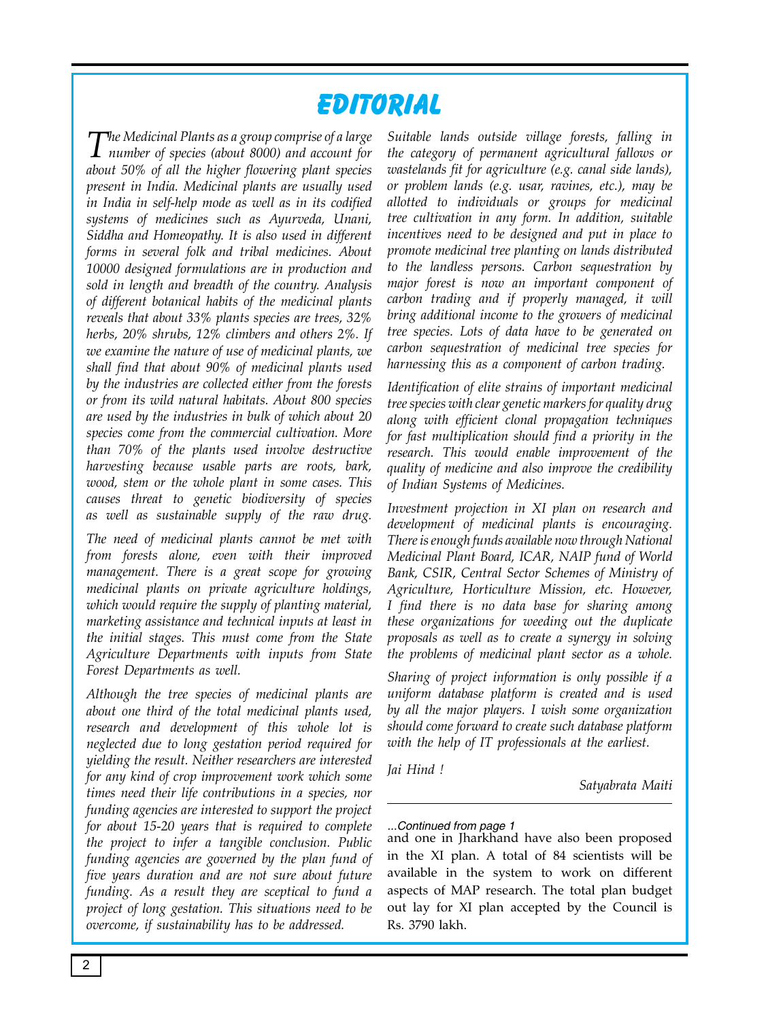# **Editorial**

*The Medicinal Plants as a group comprise of a large number of species (about 8000) and account for about 50% of all the higher flowering plant species present in India. Medicinal plants are usually used in India in self-help mode as well as in its codified systems of medicines such as Ayurveda, Unani, Siddha and Homeopathy. It is also used in different forms in several folk and tribal medicines. About 10000 designed formulations are in production and sold in length and breadth of the country. Analysis of different botanical habits of the medicinal plants reveals that about 33% plants species are trees, 32% herbs, 20% shrubs, 12% climbers and others 2%. If we examine the nature of use of medicinal plants, we shall find that about 90% of medicinal plants used by the industries are collected either from the forests or from its wild natural habitats. About 800 species are used by the industries in bulk of which about 20 species come from the commercial cultivation. More than 70% of the plants used involve destructive harvesting because usable parts are roots, bark, wood, stem or the whole plant in some cases. This causes threat to genetic biodiversity of species as well as sustainable supply of the raw drug.* 

*The need of medicinal plants cannot be met with from forests alone, even with their improved management. There is a great scope for growing medicinal plants on private agriculture holdings, which would require the supply of planting material, marketing assistance and technical inputs at least in the initial stages. This must come from the State Agriculture Departments with inputs from State Forest Departments as well.*

*Although the tree species of medicinal plants are about one third of the total medicinal plants used, research and development of this whole lot is neglected due to long gestation period required for yielding the result. Neither researchers are interested for any kind of crop improvement work which some times need their life contributions in a species, nor funding agencies are interested to support the project for about 15-20 years that is required to complete the project to infer a tangible conclusion. Public funding agencies are governed by the plan fund of five years duration and are not sure about future funding. As a result they are sceptical to fund a project of long gestation. This situations need to be overcome, if sustainability has to be addressed.* 

*Suitable lands outside village forests, falling in the category of permanent agricultural fallows or wastelands fit for agriculture (e.g. canal side lands), or problem lands (e.g. usar, ravines, etc.), may be allotted to individuals or groups for medicinal tree cultivation in any form. In addition, suitable incentives need to be designed and put in place to promote medicinal tree planting on lands distributed to the landless persons. Carbon sequestration by major forest is now an important component of carbon trading and if properly managed, it will bring additional income to the growers of medicinal tree species. Lots of data have to be generated on carbon sequestration of medicinal tree species for harnessing this as a component of carbon trading.* 

*Identification of elite strains of important medicinal tree species with clear genetic markers for quality drug along with efficient clonal propagation techniques for fast multiplication should find a priority in the research. This would enable improvement of the quality of medicine and also improve the credibility of Indian Systems of Medicines.* 

*Investment projection in XI plan on research and development of medicinal plants is encouraging. There is enough funds available now through National Medicinal Plant Board, ICAR, NAIP fund of World Bank, CSIR, Central Sector Schemes of Ministry of Agriculture, Horticulture Mission, etc. However, I find there is no data base for sharing among these organizations for weeding out the duplicate proposals as well as to create a synergy in solving the problems of medicinal plant sector as a whole.* 

*Sharing of project information is only possible if a uniform database platform is created and is used by all the major players. I wish some organization should come forward to create such database platform with the help of IT professionals at the earliest.* 

*Jai Hind !*

*Satyabrata Maiti*

#### *...Continued from page 1*

and one in Jharkhand have also been proposed in the XI plan. A total of 84 scientists will be available in the system to work on different aspects of MAP research. The total plan budget out lay for XI plan accepted by the Council is Rs. 3790 lakh.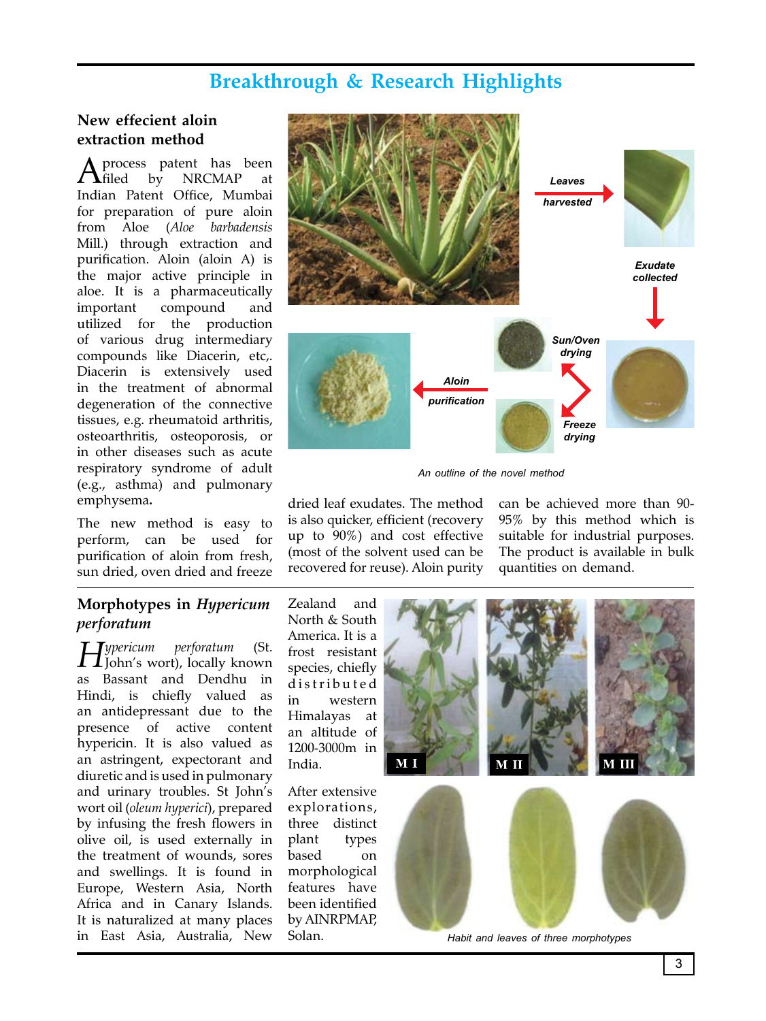# **Breakthrough & Research Highlights**

#### **New effecient aloin extraction method**

 $A$  process patent has been<br> $A$  filed by NRCMAP at NRCMAP Indian Patent Office, Mumbai for preparation of pure aloin from Aloe (*Aloe barbadensis*  Mill.) through extraction and purification. Aloin (aloin A) is the major active principle in aloe. It is a pharmaceutically important compound and utilized for the production of various drug intermediary compounds like Diacerin, etc,. Diacerin is extensively used in the treatment of abnormal degeneration of the connective tissues, e.g. rheumatoid arthritis, osteoarthritis, osteoporosis, or in other diseases such as acute respiratory syndrome of adult (e.g., asthma) and pulmonary emphysema**.**

The new method is easy to perform, can be used for purification of aloin from fresh, sun dried, oven dried and freeze

#### **Morphotypes in** *Hypericum perforatum*

*Hypericum perforatum* (St. John's wort), locally known as Bassant and Dendhu in Hindi, is chiefly valued as an antidepressant due to the presence of active content hypericin. It is also valued as an astringent, expectorant and diuretic and is used in pulmonary and urinary troubles. St John's wort oil (*oleum hyperici*), prepared by infusing the fresh flowers in olive oil, is used externally in the treatment of wounds, sores and swellings. It is found in Europe, Western Asia, North Africa and in Canary Islands. It is naturalized at many places in East Asia, Australia, New

Solan.



*An outline of the novel method*

dried leaf exudates. The method is also quicker, efficient (recovery up to 90%) and cost effective (most of the solvent used can be recovered for reuse). Aloin purity

can be achieved more than 90- 95% by this method which is suitable for industrial purposes. The product is available in bulk quantities on demand.

Zealand and North & South America. It is a frost resistant species, chiefly d is tributed in western Himalayas at an altitude of 1200-3000m in India. After extensive explorations, three distinct plant types based on morphological features have been identified by AINRPMAP,

*Habit and leaves of three morphotypes*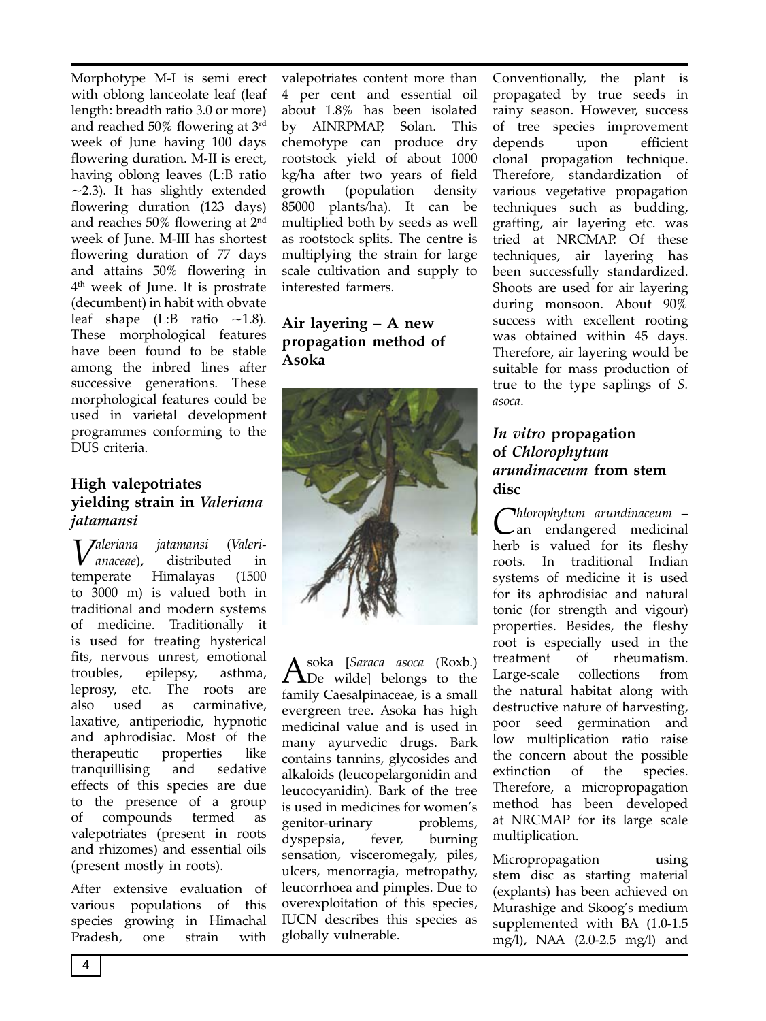Morphotype M-I is semi erect with oblong lanceolate leaf (leaf length: breadth ratio 3.0 or more) and reached 50% flowering at 3rd week of June having 100 days flowering duration. M-II is erect, having oblong leaves (L:B ratio  $\sim$ 2.3). It has slightly extended flowering duration (123 days) and reaches 50% flowering at 2nd week of June. M-III has shortest flowering duration of 77 days and attains 50% flowering in 4<sup>th</sup> week of June. It is prostrate (decumbent) in habit with obvate leaf shape  $(L:B$  ratio  $\sim$ 1.8). These morphological features have been found to be stable among the inbred lines after successive generations. These morphological features could be used in varietal development programmes conforming to the DUS criteria.

#### **High valepotriates yielding strain in** *Valeriana jatamansi*

*Valeriana jatamansi* (*Valeri-anaceae*), distributed in temperate Himalayas (1500 to 3000 m) is valued both in traditional and modern systems of medicine. Traditionally it is used for treating hysterical fits, nervous unrest, emotional troubles, epilepsy, asthma, leprosy, etc. The roots are also used as carminative, laxative, antiperiodic, hypnotic and aphrodisiac. Most of the therapeutic properties like tranquillising and sedative effects of this species are due to the presence of a group of compounds termed as valepotriates (present in roots and rhizomes) and essential oils (present mostly in roots).

After extensive evaluation of various populations of this species growing in Himachal Pradesh, one strain with

valepotriates content more than 4 per cent and essential oil about 1.8% has been isolated by AINRPMAP, Solan. This chemotype can produce dry rootstock yield of about 1000 kg/ha after two years of field growth (population density 85000 plants/ha). It can be multiplied both by seeds as well as rootstock splits. The centre is multiplying the strain for large scale cultivation and supply to interested farmers.

#### **Air layering – A new propagation method of Asoka**



Asoka [*Saraca asoca* (Roxb.) De wilde] belongs to the family Caesalpinaceae, is a small evergreen tree. Asoka has high medicinal value and is used in many ayurvedic drugs. Bark contains tannins, glycosides and alkaloids (leucopelargonidin and leucocyanidin). Bark of the tree is used in medicines for women's genitor-urinary problems, dyspepsia, fever, burning sensation, visceromegaly, piles, ulcers, menorragia, metropathy, leucorrhoea and pimples. Due to overexploitation of this species, IUCN describes this species as globally vulnerable.

Conventionally, the plant is propagated by true seeds in rainy season. However, success of tree species improvement depends upon efficient clonal propagation technique. Therefore, standardization of various vegetative propagation techniques such as budding, grafting, air layering etc. was tried at NRCMAP. Of these techniques, air layering has been successfully standardized. Shoots are used for air layering during monsoon. About 90% success with excellent rooting was obtained within 45 days. Therefore, air layering would be suitable for mass production of true to the type saplings of *S. asoca*.

#### *In vitro* **propagation of** *Chlorophytum arundinaceum* **from stem disc**

*Chlorophytum arundinaceum* – an endangered medicinal herb is valued for its fleshy roots. In traditional Indian systems of medicine it is used for its aphrodisiac and natural tonic (for strength and vigour) properties. Besides, the fleshy root is especially used in the treatment of rheumatism. Large-scale collections from the natural habitat along with destructive nature of harvesting, poor seed germination and low multiplication ratio raise the concern about the possible extinction of the species. Therefore, a micropropagation method has been developed at NRCMAP for its large scale multiplication.

Micropropagation using stem disc as starting material (explants) has been achieved on Murashige and Skoog's medium supplemented with BA (1.0-1.5 mg/l), NAA (2.0-2.5 mg/l) and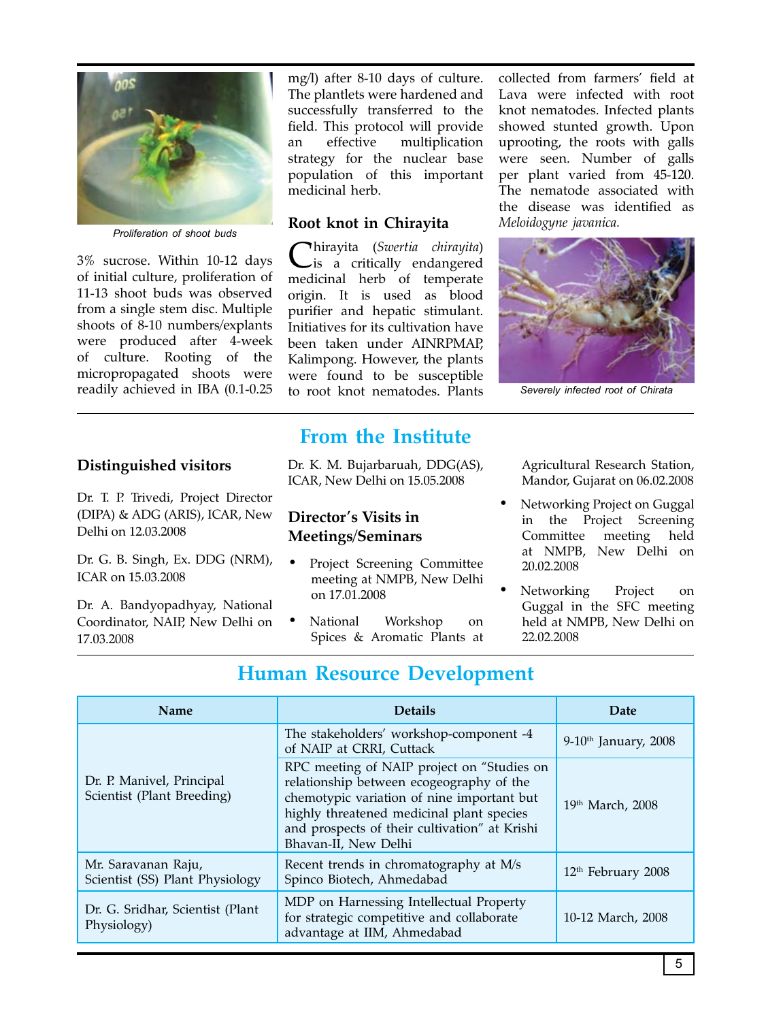

*Proliferation of shoot buds*

3% sucrose. Within 10-12 days of initial culture, proliferation of 11-13 shoot buds was observed from a single stem disc. Multiple shoots of 8-10 numbers/explants were produced after 4-week of culture. Rooting of the micropropagated shoots were readily achieved in IBA (0.1-0.25

#### **Distinguished visitors**

Dr. T. P. Trivedi, Project Director (DIPA) & ADG (ARIS), ICAR, New Delhi on 12.03.2008

Dr. G. B. Singh, Ex. DDG (NRM), ICAR on 15.03.2008

Dr. A. Bandyopadhyay, National Coordinator, NAIP, New Delhi on 17.03.2008

mg/l) after 8-10 days of culture. The plantlets were hardened and successfully transferred to the field. This protocol will provide an effective multiplication strategy for the nuclear base population of this important medicinal herb.

#### **Root knot in Chirayita**

Chirayita (*Swertia chirayita*) is a critically endangered medicinal herb of temperate origin. It is used as blood purifier and hepatic stimulant. Initiatives for its cultivation have been taken under AINRPMAP, Kalimpong. However, the plants were found to be susceptible to root knot nematodes. Plants

**From the Institute**

Dr. K. M. Bujarbaruah, DDG(AS), ICAR, New Delhi on 15.05.2008

#### **Director's Visits in Meetings/Seminars**

- Project Screening Committee meeting at NMPB, New Delhi on 17.01.2008
- National Workshop on Spices & Aromatic Plants at

collected from farmers' field at Lava were infected with root knot nematodes. Infected plants showed stunted growth. Upon uprooting, the roots with galls were seen. Number of galls per plant varied from 45-120. The nematode associated with the disease was identified as *Meloidogyne javanica.*



*Severely infected root of Chirata*

Agricultural Research Station, Mandor, Gujarat on 06.02.2008

- Networking Project on Guggal in the Project Screening Committee meeting held at NMPB, New Delhi on 20.02.2008
- Networking Project on Guggal in the SFC meeting held at NMPB, New Delhi on 22.02.2008

## **Human Resource Development**

| <b>Name</b>                                             | <b>Details</b>                                                                                                                                                                                                                                             | Date                               |
|---------------------------------------------------------|------------------------------------------------------------------------------------------------------------------------------------------------------------------------------------------------------------------------------------------------------------|------------------------------------|
| Dr. P. Manivel, Principal<br>Scientist (Plant Breeding) | The stakeholders' workshop-component -4<br>of NAIP at CRRI, Cuttack                                                                                                                                                                                        | $9-10$ <sup>th</sup> January, 2008 |
|                                                         | RPC meeting of NAIP project on "Studies on<br>relationship between ecogeography of the<br>chemotypic variation of nine important but<br>highly threatened medicinal plant species<br>and prospects of their cultivation" at Krishi<br>Bhavan-II, New Delhi | 19th March, 2008                   |
| Mr. Saravanan Raju,<br>Scientist (SS) Plant Physiology  | Recent trends in chromatography at M/s<br>Spinco Biotech, Ahmedabad                                                                                                                                                                                        | 12 <sup>th</sup> February 2008     |
| Dr. G. Sridhar, Scientist (Plant<br>Physiology)         | MDP on Harnessing Intellectual Property<br>for strategic competitive and collaborate<br>advantage at IIM, Ahmedabad                                                                                                                                        | 10-12 March, 2008                  |